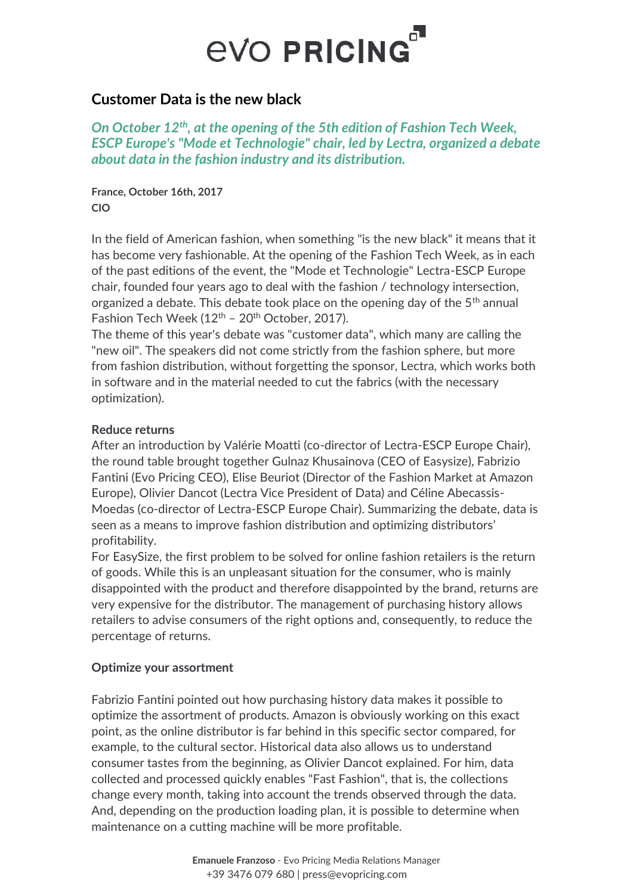# **EVO PRICING**

### **Customer Data is the new black**

*On October 12th, at the opening of the 5th edition of Fashion Tech Week, ESCP Europe's "Mode et Technologie" chair, led by Lectra, organized a debate about data in the fashion industry and its distribution.*

**France, October 16th, 2017 CIO**

In the field of American fashion, when something "is the new black" it means that it has become very fashionable. At the opening of the Fashion Tech Week, as in each of the past editions of the event, the "Mode et Technologie" Lectra-ESCP Europe chair, founded four years ago to deal with the fashion / technology intersection, organized a debate. This debate took place on the opening day of the  $5<sup>th</sup>$  annual Fashion Tech Week  $(12<sup>th</sup> - 20<sup>th</sup> October, 2017)$ .

The theme of this year's debate was "customer data", which many are calling the "new oil". The speakers did not come strictly from the fashion sphere, but more from fashion distribution, without forgetting the sponsor, Lectra, which works both in software and in the material needed to cut the fabrics (with the necessary optimization).

#### **Reduce returns**

After an introduction by Valérie Moatti (co-director of Lectra-ESCP Europe Chair), the round table brought together Gulnaz Khusainova (CEO of Easysize), Fabrizio Fantini (Evo Pricing CEO), Elise Beuriot (Director of the Fashion Market at Amazon Europe), Olivier Dancot (Lectra Vice President of Data) and Céline Abecassis-Moedas (co-director of Lectra-ESCP Europe Chair). Summarizing the debate, data is seen as a means to improve fashion distribution and optimizing distributors' profitability.

For EasySize, the first problem to be solved for online fashion retailers is the return of goods. While this is an unpleasant situation for the consumer, who is mainly disappointed with the product and therefore disappointed by the brand, returns are very expensive for the distributor. The management of purchasing history allows retailers to advise consumers of the right options and, consequently, to reduce the percentage of returns.

### **Optimize your assortment**

Fabrizio Fantini pointed out how purchasing history data makes it possible to optimize the assortment of products. Amazon is obviously working on this exact point, as the online distributor is far behind in this specific sector compared, for example, to the cultural sector. Historical data also allows us to understand consumer tastes from the beginning, as Olivier Dancot explained. For him, data collected and processed quickly enables "Fast Fashion", that is, the collections change every month, taking into account the trends observed through the data. And, depending on the production loading plan, it is possible to determine when maintenance on a cutting machine will be more profitable.